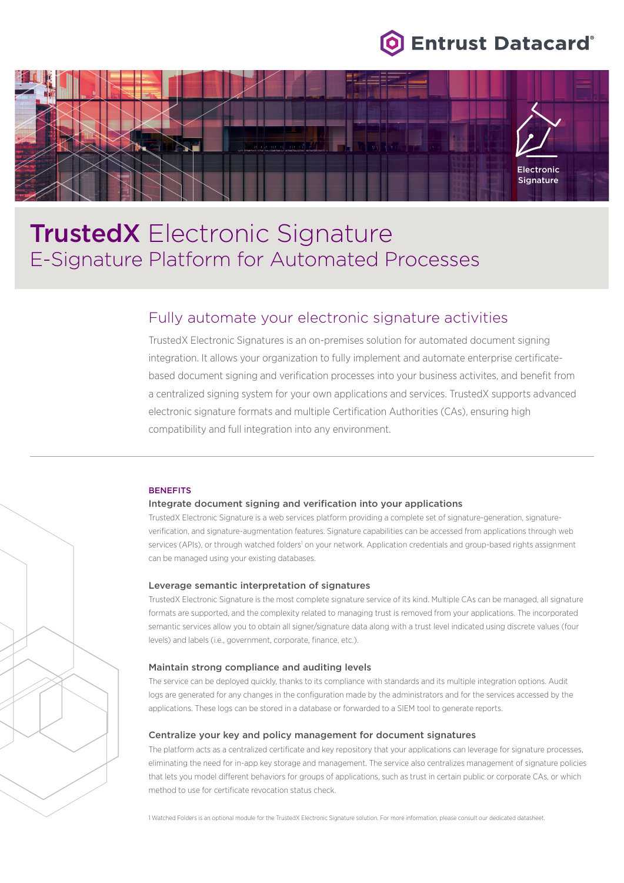



# **TrustedX** Electronic Signature E-Signature Platform for Automated Processes

## Fully automate your electronic signature activities

TrustedX Electronic Signatures is an on-premises solution for automated document signing integration. It allows your organization to fully implement and automate enterprise certificatebased document signing and verification processes into your business activites, and benefit from a centralized signing system for your own applications and services. TrustedX supports advanced electronic signature formats and multiple Certification Authorities (CAs), ensuring high compatibility and full integration into any environment.

#### **BENEFITS**

#### Integrate document signing and verification into your applications

TrustedX Electronic Signature is a web services platform providing a complete set of signature-generation, signatureverification, and signature-augmentation features. Signature capabilities can be accessed from applications through web services (APIs), or through watched folders<sup>1</sup> on your network. Application credentials and group-based rights assignment can be managed using your existing databases.

### Leverage semantic interpretation of signatures

TrustedX Electronic Signature is the most complete signature service of its kind. Multiple CAs can be managed, all signature formats are supported, and the complexity related to managing trust is removed from your applications. The incorporated semantic services allow you to obtain all signer/signature data along with a trust level indicated using discrete values (four levels) and labels (i.e., government, corporate, finance, etc.).

#### Maintain strong compliance and auditing levels

The service can be deployed quickly, thanks to its compliance with standards and its multiple integration options. Audit logs are generated for any changes in the configuration made by the administrators and for the services accessed by the applications. These logs can be stored in a database or forwarded to a SIEM tool to generate reports.

## Centralize your key and policy management for document signatures

The platform acts as a centralized certificate and key repository that your applications can leverage for signature processes, eliminating the need for in-app key storage and management. The service also centralizes management of signature policies that lets you model different behaviors for groups of applications, such as trust in certain public or corporate CAs, or which method to use for certificate revocation status check.

1 Watched Folders is an optional module for the TrustedX Electronic Signature solution. For more information, please consult our dedicated datasheet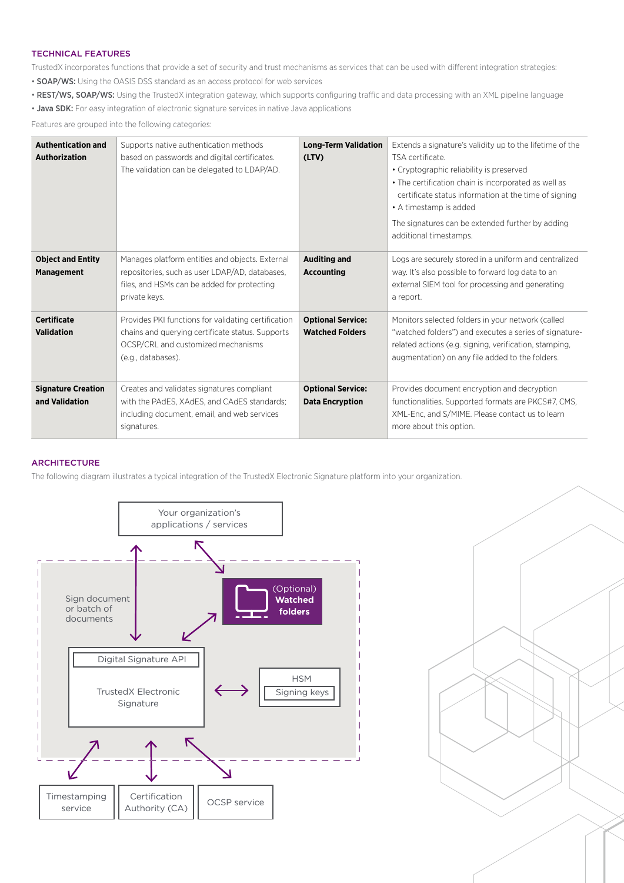## TECHNICAL FEATURES

TrustedX incorporates functions that provide a set of security and trust mechanisms as services that can be used with different integration strategies:

- SOAP/WS: Using the OASIS DSS standard as an access protocol for web services
- REST/WS, SOAP/WS: Using the TrustedX integration gateway, which supports configuring traffic and data processing with an XML pipeline language
- Java SDK: For easy integration of electronic signature services in native Java applications

Features are grouped into the following categories:

| <b>Authentication and</b><br><b>Authorization</b> | Supports native authentication methods<br>based on passwords and digital certificates.<br>The validation can be delegated to LDAP/AD.                               | <b>Long-Term Validation</b><br>(LTV)               | Extends a signature's validity up to the lifetime of the<br>TSA certificate.<br>• Cryptographic reliability is preserved<br>• The certification chain is incorporated as well as<br>certificate status information at the time of signing<br>• A timestamp is added<br>The signatures can be extended further by adding<br>additional timestamps. |
|---------------------------------------------------|---------------------------------------------------------------------------------------------------------------------------------------------------------------------|----------------------------------------------------|---------------------------------------------------------------------------------------------------------------------------------------------------------------------------------------------------------------------------------------------------------------------------------------------------------------------------------------------------|
| <b>Object and Entity</b><br><b>Management</b>     | Manages platform entities and objects. External<br>repositories, such as user LDAP/AD, databases,<br>files, and HSMs can be added for protecting<br>private keys.   | <b>Auditing and</b><br><b>Accounting</b>           | Logs are securely stored in a uniform and centralized<br>way. It's also possible to forward log data to an<br>external SIEM tool for processing and generating<br>a report.                                                                                                                                                                       |
| <b>Certificate</b><br><b>Validation</b>           | Provides PKI functions for validating certification<br>chains and querying certificate status. Supports<br>OCSP/CRL and customized mechanisms<br>(e.g., databases). | <b>Optional Service:</b><br><b>Watched Folders</b> | Monitors selected folders in your network (called<br>"watched folders") and executes a series of signature-<br>related actions (e.g. signing, verification, stamping,<br>augmentation) on any file added to the folders.                                                                                                                          |
| <b>Signature Creation</b><br>and Validation       | Creates and validates signatures compliant<br>with the PAdES, XAdES, and CAdES standards;<br>including document, email, and web services<br>signatures.             | <b>Optional Service:</b><br><b>Data Encryption</b> | Provides document encryption and decryption<br>functionalities. Supported formats are PKCS#7, CMS,<br>XML-Enc, and S/MIME. Please contact us to learn<br>more about this option.                                                                                                                                                                  |

## **ARCHITECTURE**

The following diagram illustrates a typical integration of the TrustedX Electronic Signature platform into your organization.